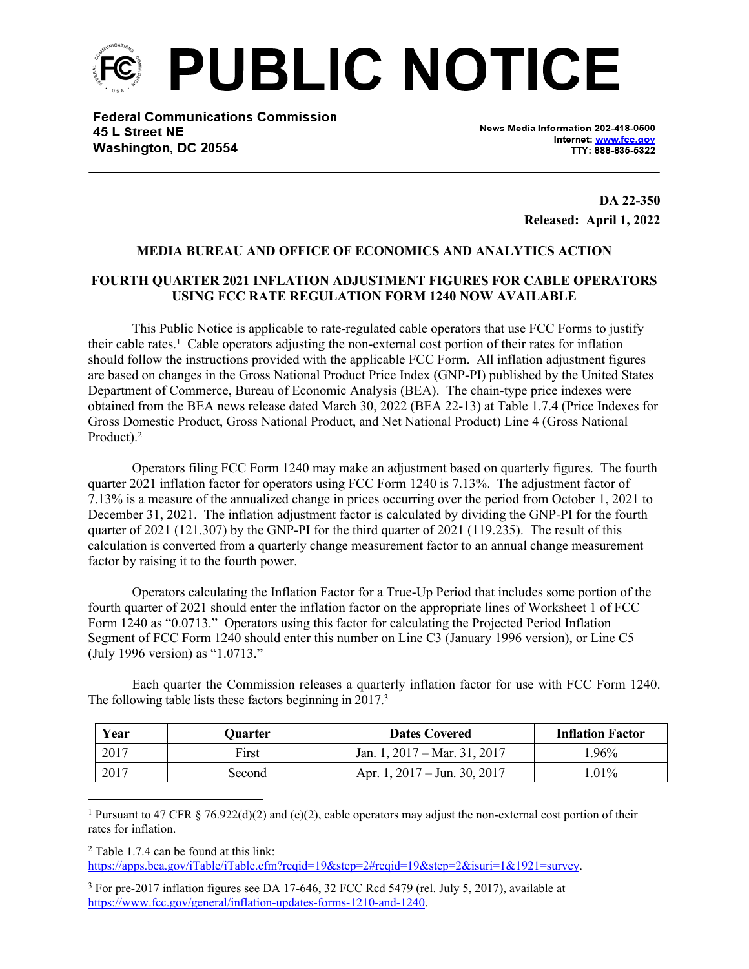

**Federal Communications Commission** 45 L Street NE Washington, DC 20554

News Media Information 202-418-0500 Internet: www.fcc.gov TTY: 888-835-5322

> **DA 22-350 Released: April 1, 2022**

## **MEDIA BUREAU AND OFFICE OF ECONOMICS AND ANALYTICS ACTION**

## **FOURTH QUARTER 2021 INFLATION ADJUSTMENT FIGURES FOR CABLE OPERATORS USING FCC RATE REGULATION FORM 1240 NOW AVAILABLE**

This Public Notice is applicable to rate-regulated cable operators that use FCC Forms to justify their cable rates.<sup>1</sup> Cable operators adjusting the non-external cost portion of their rates for inflation should follow the instructions provided with the applicable FCC Form. All inflation adjustment figures are based on changes in the Gross National Product Price Index (GNP-PI) published by the United States Department of Commerce, Bureau of Economic Analysis (BEA). The chain-type price indexes were obtained from the BEA news release dated March 30, 2022 (BEA 22-13) at Table 1.7.4 (Price Indexes for Gross Domestic Product, Gross National Product, and Net National Product) Line 4 (Gross National Product).<sup>2</sup>

Operators filing FCC Form 1240 may make an adjustment based on quarterly figures. The fourth quarter 2021 inflation factor for operators using FCC Form 1240 is 7.13%. The adjustment factor of 7.13% is a measure of the annualized change in prices occurring over the period from October 1, 2021 to December 31, 2021. The inflation adjustment factor is calculated by dividing the GNP-PI for the fourth quarter of 2021 (121.307) by the GNP-PI for the third quarter of 2021 (119.235). The result of this calculation is converted from a quarterly change measurement factor to an annual change measurement factor by raising it to the fourth power.

Operators calculating the Inflation Factor for a True-Up Period that includes some portion of the fourth quarter of 2021 should enter the inflation factor on the appropriate lines of Worksheet 1 of FCC Form 1240 as "0.0713." Operators using this factor for calculating the Projected Period Inflation Segment of FCC Form 1240 should enter this number on Line C3 (January 1996 version), or Line C5 (July 1996 version) as "1.0713."

Each quarter the Commission releases a quarterly inflation factor for use with FCC Form 1240. The following table lists these factors beginning in 2017.<sup>3</sup>

| Year | Ouarter | <b>Dates Covered</b>                   | <b>Inflation Factor</b> |
|------|---------|----------------------------------------|-------------------------|
| 2017 | First   | Jan. 1, $2017 - \text{Mar. } 31, 2017$ | $.96\%$                 |
| 2017 | Second  | Apr. 1, $2017 - \text{Jun. } 30, 2017$ | $.01\%$                 |

<sup>1</sup> Pursuant to 47 CFR § 76.922(d)(2) and (e)(2), cable operators may adjust the non-external cost portion of their rates for inflation.

2 Table 1.7.4 can be found at this link:

[https://apps.bea.gov/iTable/iTable.cfm?reqid=19&step=2#reqid=19&step=2&isuri=1&1921=survey.](https://apps.bea.gov/iTable/iTable.cfm?reqid=19&step=2#reqid=19&step=2&isuri=1&1921=survey)

<sup>&</sup>lt;sup>3</sup> For pre-2017 inflation figures see DA 17-646, 32 FCC Rcd 5479 (rel. July 5, 2017), available at <https://www.fcc.gov/general/inflation-updates-forms-1210-and-1240>.